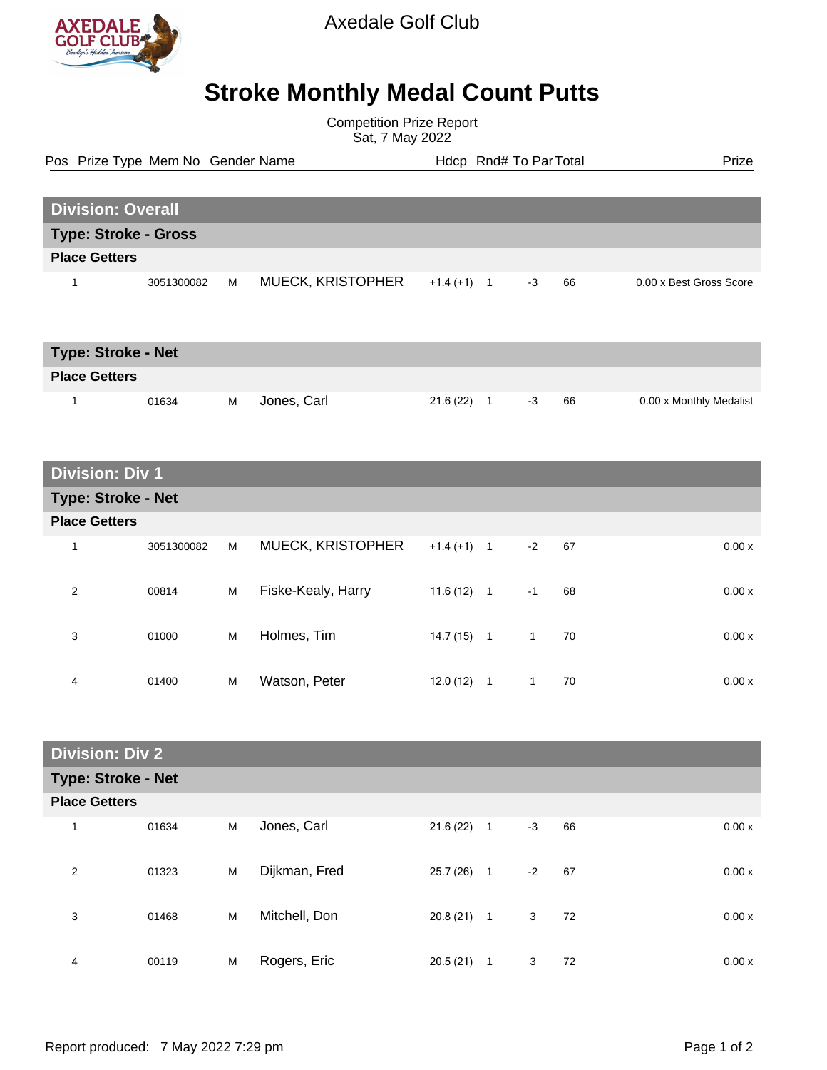

Axedale Golf Club

## **Stroke Monthly Medal Count Putts**

Competition Prize Report Sat, 7 May 2022

Pos Prize Type Mem No Gender Name **Health Hotel Rnd# To ParTotal** Prize

| <b>Division: Overall</b>    |            |   |                          |                              |      |    |                         |  |  |
|-----------------------------|------------|---|--------------------------|------------------------------|------|----|-------------------------|--|--|
| <b>Type: Stroke - Gross</b> |            |   |                          |                              |      |    |                         |  |  |
| <b>Place Getters</b>        |            |   |                          |                              |      |    |                         |  |  |
|                             | 3051300082 | M | <b>MUECK, KRISTOPHER</b> | $+1.4(+1)$<br>$\overline{1}$ | $-3$ | 66 | 0.00 x Best Gross Score |  |  |

| <b>Type: Stroke - Net</b> |       |   |             |          |  |    |    |                         |  |
|---------------------------|-------|---|-------------|----------|--|----|----|-------------------------|--|
| <b>Place Getters</b>      |       |   |             |          |  |    |    |                         |  |
|                           | 01634 | м | Jones, Carl | 21.6(22) |  | -3 | 66 | 0.00 x Monthly Medalist |  |

## **Division: Div 1**

| <b>Type: Stroke - Net</b> |            |   |                    |              |   |      |    |        |  |  |
|---------------------------|------------|---|--------------------|--------------|---|------|----|--------|--|--|
| <b>Place Getters</b>      |            |   |                    |              |   |      |    |        |  |  |
| 1                         | 3051300082 | M | MUECK, KRISTOPHER  | $+1.4(+1)$ 1 |   | $-2$ | 67 | 0.00 x |  |  |
| 2                         | 00814      | M | Fiske-Kealy, Harry | $11.6(12)$ 1 |   | $-1$ | 68 | 0.00x  |  |  |
| 3                         | 01000      | M | Holmes, Tim        | $14.7(15)$ 1 |   | 1    | 70 | 0.00x  |  |  |
| 4                         | 01400      | M | Watson, Peter      | 12.0(12)     | 1 | 1    | 70 | 0.00x  |  |  |

| <b>Division: Div 2</b> |       |   |               |           |              |      |    |  |       |
|------------------------|-------|---|---------------|-----------|--------------|------|----|--|-------|
| Type: Stroke - Net     |       |   |               |           |              |      |    |  |       |
| <b>Place Getters</b>   |       |   |               |           |              |      |    |  |       |
| $\overline{A}$         | 01634 | M | Jones, Carl   | 21.6(22)  | $\mathbf{1}$ | $-3$ | 66 |  | 0.00x |
| 2                      | 01323 | M | Dijkman, Fred | 25.7 (26) | $\mathbf{1}$ | $-2$ | 67 |  | 0.00x |
| 3                      | 01468 | M | Mitchell, Don | 20.8(21)  | $\mathbf{1}$ | 3    | 72 |  | 0.00x |
| 4                      | 00119 | M | Rogers, Eric  | 20.5(21)  | 1            | 3    | 72 |  | 0.00x |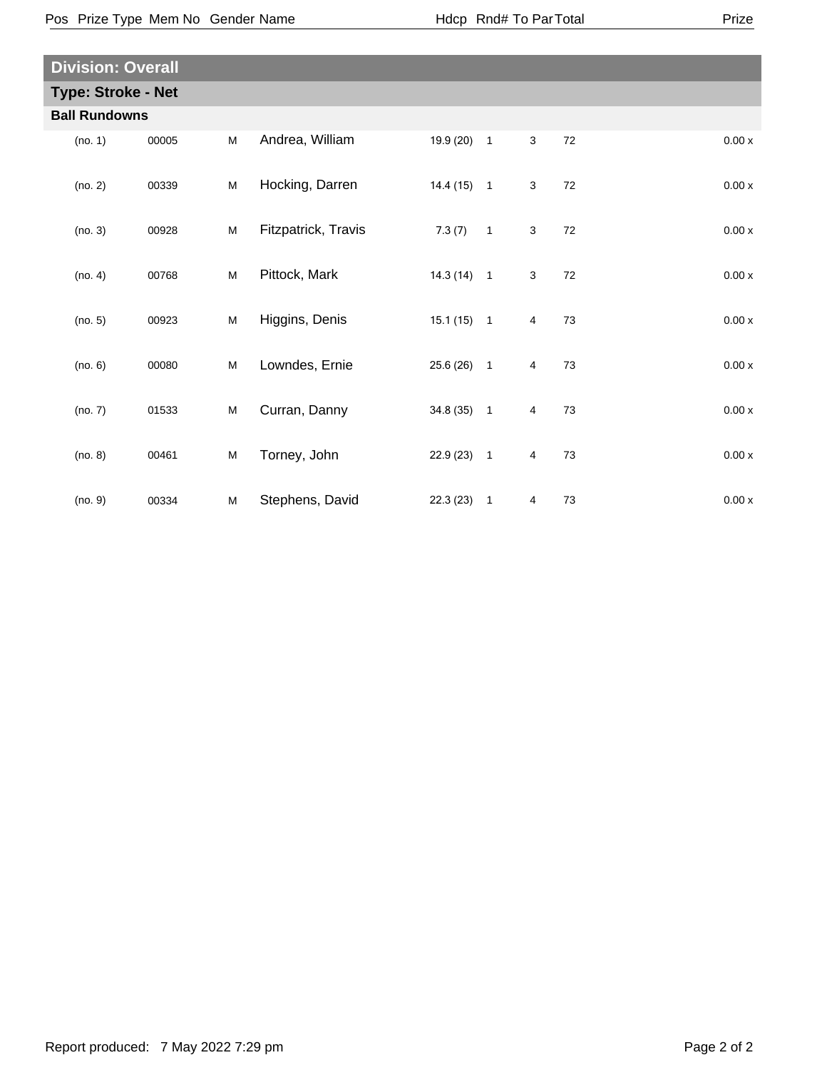| <b>Division: Overall</b>  |         |       |   |                     |              |                          |   |        |       |  |
|---------------------------|---------|-------|---|---------------------|--------------|--------------------------|---|--------|-------|--|
| <b>Type: Stroke - Net</b> |         |       |   |                     |              |                          |   |        |       |  |
| <b>Ball Rundowns</b>      |         |       |   |                     |              |                          |   |        |       |  |
|                           | (no. 1) | 00005 | M | Andrea, William     | 19.9 (20) 1  |                          | 3 | 72     | 0.00x |  |
|                           | (no. 2) | 00339 | M | Hocking, Darren     | $14.4(15)$ 1 |                          | 3 | 72     | 0.00x |  |
|                           | (no. 3) | 00928 | M | Fitzpatrick, Travis | 7.3(7)       | $\overline{\phantom{0}}$ | 3 | $72\,$ | 0.00x |  |
|                           | (no. 4) | 00768 | M | Pittock, Mark       | $14.3(14)$ 1 |                          | 3 | 72     | 0.00x |  |
|                           | (no. 5) | 00923 | M | Higgins, Denis      | $15.1(15)$ 1 |                          | 4 | 73     | 0.00x |  |
|                           | (no. 6) | 00080 | M | Lowndes, Ernie      | $25.6(26)$ 1 |                          | 4 | 73     | 0.00x |  |
|                           | (no. 7) | 01533 | M | Curran, Danny       | 34.8 (35) 1  |                          | 4 | 73     | 0.00x |  |
|                           | (no. 8) | 00461 | M | Torney, John        | $22.9(23)$ 1 |                          | 4 | 73     | 0.00x |  |
|                           | (no. 9) | 00334 | M | Stephens, David     | $22.3(23)$ 1 |                          | 4 | 73     | 0.00x |  |